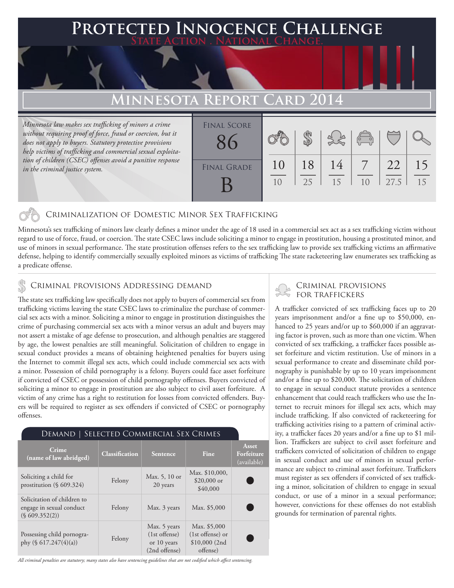### **FED INNOCENCE CHALLENGE State Action . National Change.**

## **MINNESOTA REPO**

*Minnesota law makes sex trafficking of minors a crime*  without requiring proof of force, fraud or coercion, but it *does not apply to buyers. Statutory protective provisions help victims of trafficking and commercial sexual exploitation of children (CSEC) offenses avoid a punitive response in the criminal justice system.*

| <b>FINAL SCORE</b> |          |          |          | $\left(\begin{matrix} 0 & 0 \\ 0 & 0 \end{matrix}\right)$ |            |          |
|--------------------|----------|----------|----------|-----------------------------------------------------------|------------|----------|
| <b>FINAL GRADE</b> | 10<br>10 | 18<br>25 | 14<br>15 | 10                                                        | 22<br>27.5 | 15<br>15 |
|                    |          |          |          |                                                           |            |          |

### Criminalization of Domestic Minor Sex Trafficking

Minnesota's sex trafficking of minors law clearly defines a minor under the age of 18 used in a commercial sex act as a sex trafficking victim without regard to use of force, fraud, or coercion. The state CSEC laws include soliciting a minor to engage in prostitution, housing a prostituted minor, and use of minors in sexual performance. The state prostitution offenses refers to the sex trafficking law to provide sex trafficking victims an affirmative defense, helping to identify commercially sexually exploited minors as victims of trafficking The state racketeering law enumerates sex trafficking as a predicate offense.

## CRIMINAL PROVISIONS ADDRESSING DEMAND<br>FOR TRAFFICKERS

The state sex trafficking law specifically does not apply to buyers of commercial sex from trafficking victims leaving the state CSEC laws to criminalize the purchase of commercial sex acts with a minor. Soliciting a minor to engage in prostitution distinguishes the crime of purchasing commercial sex acts with a minor versus an adult and buyers may not assert a mistake of age defense to prosecution, and although penalties are staggered by age, the lowest penalties are still meaningful. Solicitation of children to engage in sexual conduct provides a means of obtaining heightened penalties for buyers using the Internet to commit illegal sex acts, which could include commercial sex acts with a minor. Possession of child pornography is a felony. Buyers could face asset forfeiture if convicted of CSEC or possession of child pornography offenses. Buyers convicted of soliciting a minor to engage in prostitution are also subject to civil asset forfeiture. A victim of any crime has a right to restitution for losses from convicted offenders. Buyers will be required to register as sex offenders if convicted of CSEC or pornography offenses.

### Demand | Selected Commercial Sex Crimes

| Crime<br>(name of law abridged)                                          | <b>Classification</b> | <b>Sentence</b>                                                 | Fine                                                           | Asset<br>Forfeiture<br>(available) |
|--------------------------------------------------------------------------|-----------------------|-----------------------------------------------------------------|----------------------------------------------------------------|------------------------------------|
| Soliciting a child for<br>prostitution $(\S 609.324)$                    | Felony                | Max. 5, 10 or<br>20 years                                       | Max. \$10,000,<br>$$20,000$ or<br>\$40,000                     |                                    |
| Solicitation of children to<br>engage in sexual conduct<br>(S609.352(2)) | Felony                | Max. 3 years                                                    | Max. \$5,000                                                   |                                    |
| Possessing child pornogra-<br>phy $(\S 617.247(4)(a))$                   | Felony                | Max. 5 years<br>$(1st$ offense)<br>or 10 years<br>(2nd offense) | Max. \$5,000<br>(1st offense) or<br>$$10,000$ (2nd<br>offense) |                                    |

# Criminal provisions

A trafficker convicted of sex trafficking faces up to 20 years imprisonment and/or a fine up to \$50,000, enhanced to 25 years and/or up to \$60,000 if an aggravating factor is proven, such as more than one victim. When convicted of sex trafficking, a trafficker faces possible asset forfeiture and victim restitution. Use of minors in a sexual performance to create and disseminate child pornography is punishable by up to 10 years imprisonment and/or a fine up to \$20,000. The solicitation of children to engage in sexual conduct statute provides a sentence enhancement that could reach traffickers who use the Internet to recruit minors for illegal sex acts, which may include trafficking. If also convicted of racketeering for trafficking activities rising to a pattern of criminal activity, a trafficker faces 20 years and/or a fine up to \$1 million. Traffickers are subject to civil asset forfeiture and traffickers convicted of solicitation of children to engage in sexual conduct and use of minors in sexual performance are subject to criminal asset forfeiture. Traffickers must register as sex offenders if convicted of sex trafficking a minor, solicitation of children to engage in sexual conduct, or use of a minor in a sexual performance; however, convictions for these offenses do not establish grounds for termination of parental rights.

*All criminal penalties are statutory; many states also have sentencing guidelines that are not codified which affect sentencing.*